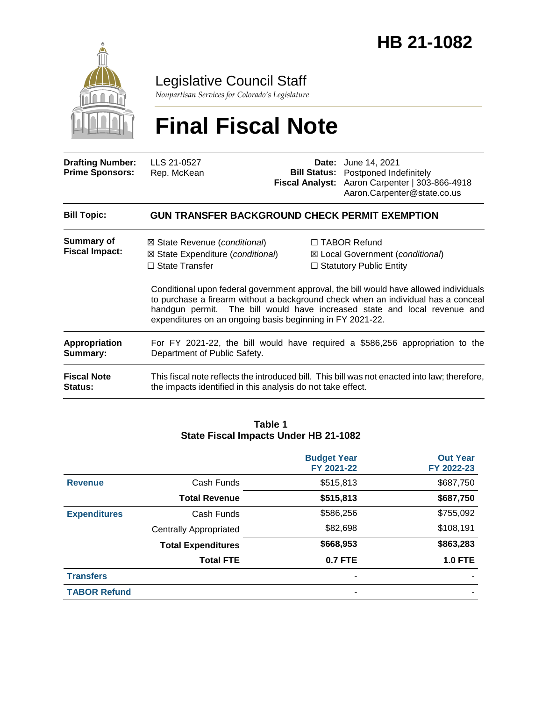

## Legislative Council Staff

*Nonpartisan Services for Colorado's Legislature*

# **Final Fiscal Note**

| <b>Drafting Number:</b><br><b>Prime Sponsors:</b> | LLS 21-0527<br>Rep. McKean                                                                                                                                                  | <b>Date:</b> June 14, 2021<br><b>Bill Status:</b> Postponed Indefinitely<br>Fiscal Analyst: Aaron Carpenter   303-866-4918<br>Aaron.Carpenter@state.co.us                                                                                                                                                                                            |
|---------------------------------------------------|-----------------------------------------------------------------------------------------------------------------------------------------------------------------------------|------------------------------------------------------------------------------------------------------------------------------------------------------------------------------------------------------------------------------------------------------------------------------------------------------------------------------------------------------|
| <b>Bill Topic:</b>                                | <b>GUN TRANSFER BACKGROUND CHECK PERMIT EXEMPTION</b>                                                                                                                       |                                                                                                                                                                                                                                                                                                                                                      |
| Summary of<br><b>Fiscal Impact:</b>               | ⊠ State Revenue ( <i>conditional</i> )<br>$\boxtimes$ State Expenditure (conditional)<br>$\Box$ State Transfer<br>expenditures on an ongoing basis beginning in FY 2021-22. | $\Box$ TABOR Refund<br>⊠ Local Government (conditional)<br>$\Box$ Statutory Public Entity<br>Conditional upon federal government approval, the bill would have allowed individuals<br>to purchase a firearm without a background check when an individual has a conceal<br>handgun permit. The bill would have increased state and local revenue and |
| Appropriation<br>Summary:                         | Department of Public Safety.                                                                                                                                                | For FY 2021-22, the bill would have required a \$586,256 appropriation to the                                                                                                                                                                                                                                                                        |
| <b>Fiscal Note</b><br>Status:                     | the impacts identified in this analysis do not take effect.                                                                                                                 | This fiscal note reflects the introduced bill. This bill was not enacted into law; therefore,                                                                                                                                                                                                                                                        |

#### **Table 1 State Fiscal Impacts Under HB 21-1082**

|                     |                               | <b>Budget Year</b><br>FY 2021-22 | <b>Out Year</b><br>FY 2022-23 |
|---------------------|-------------------------------|----------------------------------|-------------------------------|
| <b>Revenue</b>      | Cash Funds                    | \$515,813                        | \$687,750                     |
|                     | <b>Total Revenue</b>          | \$515,813                        | \$687,750                     |
| <b>Expenditures</b> | Cash Funds                    | \$586,256                        | \$755,092                     |
|                     | <b>Centrally Appropriated</b> | \$82,698                         | \$108,191                     |
|                     | <b>Total Expenditures</b>     | \$668,953                        | \$863,283                     |
|                     | <b>Total FTE</b>              | <b>0.7 FTE</b>                   | <b>1.0 FTE</b>                |
| <b>Transfers</b>    |                               |                                  |                               |
| <b>TABOR Refund</b> |                               |                                  |                               |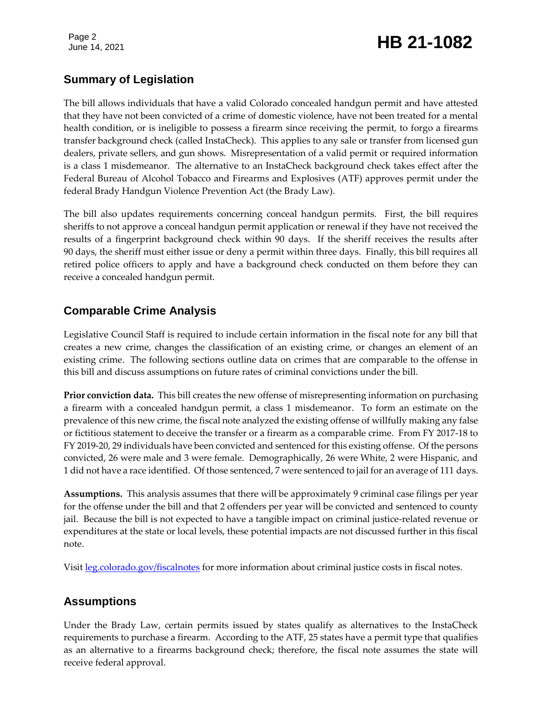# Page 2<br>June 14, 2021 **HB 21-1082**

#### **Summary of Legislation**

The bill allows individuals that have a valid Colorado concealed handgun permit and have attested that they have not been convicted of a crime of domestic violence, have not been treated for a mental health condition, or is ineligible to possess a firearm since receiving the permit, to forgo a firearms transfer background check (called InstaCheck). This applies to any sale or transfer from licensed gun dealers, private sellers, and gun shows. Misrepresentation of a valid permit or required information is a class 1 misdemeanor. The alternative to an InstaCheck background check takes effect after the Federal Bureau of Alcohol Tobacco and Firearms and Explosives (ATF) approves permit under the federal Brady Handgun Violence Prevention Act (the Brady Law).

The bill also updates requirements concerning conceal handgun permits. First, the bill requires sheriffs to not approve a conceal handgun permit application or renewal if they have not received the results of a fingerprint background check within 90 days. If the sheriff receives the results after 90 days, the sheriff must either issue or deny a permit within three days. Finally, this bill requires all retired police officers to apply and have a background check conducted on them before they can receive a concealed handgun permit.

### **Comparable Crime Analysis**

Legislative Council Staff is required to include certain information in the fiscal note for any bill that creates a new crime, changes the classification of an existing crime, or changes an element of an existing crime. The following sections outline data on crimes that are comparable to the offense in this bill and discuss assumptions on future rates of criminal convictions under the bill.

**Prior conviction data.** This bill creates the new offense of misrepresenting information on purchasing a firearm with a concealed handgun permit, a class 1 misdemeanor. To form an estimate on the prevalence of this new crime, the fiscal note analyzed the existing offense of willfully making any false or fictitious statement to deceive the transfer or a firearm as a comparable crime. From FY 2017-18 to FY 2019-20, 29 individuals have been convicted and sentenced for this existing offense. Of the persons convicted, 26 were male and 3 were female. Demographically, 26 were White, 2 were Hispanic, and 1 did not have a race identified. Of those sentenced, 7 were sentenced to jail for an average of 111 days.

**Assumptions.** This analysis assumes that there will be approximately 9 criminal case filings per year for the offense under the bill and that 2 offenders per year will be convicted and sentenced to county jail. Because the bill is not expected to have a tangible impact on criminal justice-related revenue or expenditures at the state or local levels, these potential impacts are not discussed further in this fiscal note.

Visit [leg.colorado.gov/fiscalnotes](http://leg.colorado.gov/fiscalnotes/) for more information about criminal justice costs in fiscal notes.

#### **Assumptions**

Under the Brady Law, certain permits issued by states qualify as alternatives to the InstaCheck requirements to purchase a firearm. According to the ATF, 25 states have a permit type that qualifies as an alternative to a firearms background check; therefore, the fiscal note assumes the state will receive federal approval.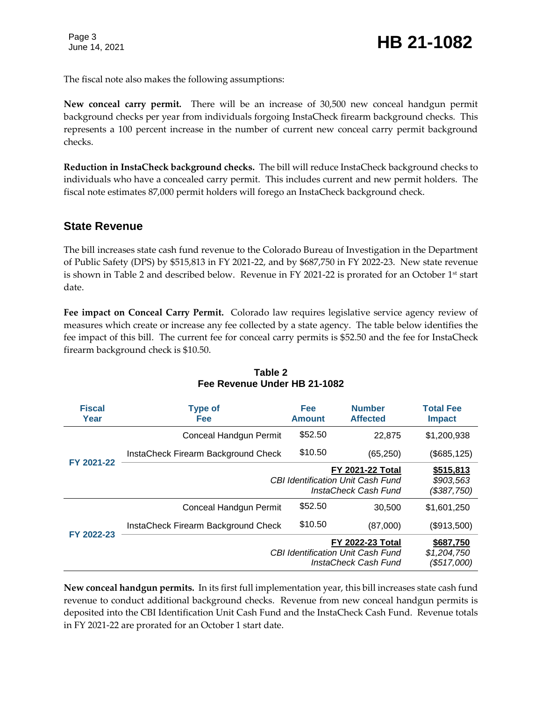# June 14, 2021 **HB 21-1082**

The fiscal note also makes the following assumptions:

**New conceal carry permit.** There will be an increase of 30,500 new conceal handgun permit background checks per year from individuals forgoing InstaCheck firearm background checks. This represents a 100 percent increase in the number of current new conceal carry permit background checks.

**Reduction in InstaCheck background checks.** The bill will reduce InstaCheck background checks to individuals who have a concealed carry permit. This includes current and new permit holders. The fiscal note estimates 87,000 permit holders will forego an InstaCheck background check.

#### **State Revenue**

The bill increases state cash fund revenue to the Colorado Bureau of Investigation in the Department of Public Safety (DPS) by \$515,813 in FY 2021-22, and by \$687,750 in FY 2022-23. New state revenue is shown in Table 2 and described below. Revenue in FY 2021-22 is prorated for an October  $1<sup>st</sup>$  start date.

**Fee impact on Conceal Carry Permit.** Colorado law requires legislative service agency review of measures which create or increase any fee collected by a state agency. The table below identifies the fee impact of this bill. The current fee for conceal carry permits is \$52.50 and the fee for InstaCheck firearm background check is \$10.50.

| <b>Fiscal</b><br>Year | <b>Type of</b><br><b>Fee</b>                   | Fee<br><b>Amount</b>                                | <b>Number</b><br><b>Affected</b>                                                            | <b>Total Fee</b><br><b>Impact</b>       |
|-----------------------|------------------------------------------------|-----------------------------------------------------|---------------------------------------------------------------------------------------------|-----------------------------------------|
|                       | Conceal Handgun Permit                         | \$52.50                                             | 22,875                                                                                      | \$1,200,938                             |
| FY 2021-22            | InstaCheck Firearm Background Check            | \$10.50<br><b>CBI Identification Unit Cash Fund</b> | (65, 250)                                                                                   | (\$685, 125)                            |
|                       |                                                |                                                     | <b>FY 2021-22 Total</b><br>InstaCheck Cash Fund                                             | \$515,813<br>\$903,563<br>(\$387,750)   |
|                       | Conceal Handgun Permit                         | \$52.50                                             | 30,500                                                                                      | \$1,601,250                             |
| FY 2022-23            | \$10.50<br>InstaCheck Firearm Background Check | (87,000)                                            | (\$913,500)                                                                                 |                                         |
|                       |                                                |                                                     | <b>FY 2022-23 Total</b><br><b>CBI Identification Unit Cash Fund</b><br>InstaCheck Cash Fund | \$687,750<br>\$1,204,750<br>(\$517,000) |

#### **Table 2 Fee Revenue Under HB 21-1082**

**New conceal handgun permits.** In its first full implementation year, this bill increases state cash fund revenue to conduct additional background checks. Revenue from new conceal handgun permits is deposited into the CBI Identification Unit Cash Fund and the InstaCheck Cash Fund. Revenue totals in FY 2021-22 are prorated for an October 1 start date.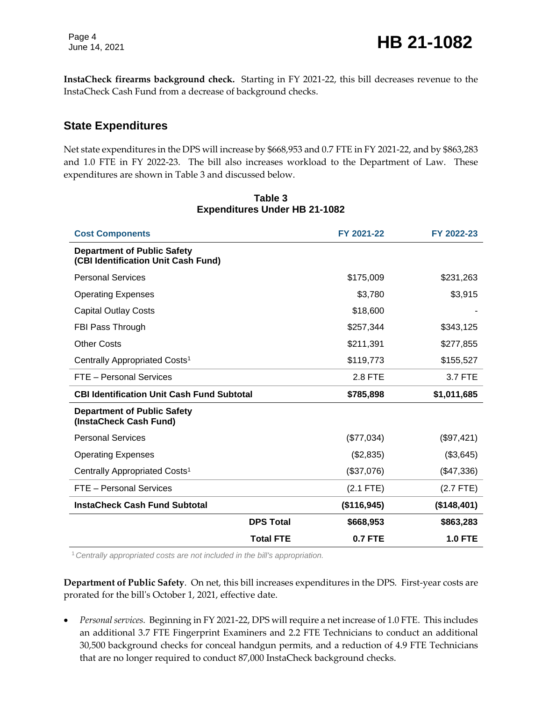**InstaCheck firearms background check.** Starting in FY 2021-22, this bill decreases revenue to the InstaCheck Cash Fund from a decrease of background checks.

#### **State Expenditures**

Net state expenditures in the DPS will increase by \$668,953 and 0.7 FTE in FY 2021-22, and by \$863,283 and 1.0 FTE in FY 2022-23. The bill also increases workload to the Department of Law. These expenditures are shown in Table 3 and discussed below.

| <b>Cost Components</b>                                                    |                  | FY 2021-22  | FY 2022-23     |
|---------------------------------------------------------------------------|------------------|-------------|----------------|
| <b>Department of Public Safety</b><br>(CBI Identification Unit Cash Fund) |                  |             |                |
| <b>Personal Services</b>                                                  |                  | \$175,009   | \$231,263      |
| <b>Operating Expenses</b>                                                 |                  | \$3,780     | \$3,915        |
| <b>Capital Outlay Costs</b>                                               |                  | \$18,600    |                |
| FBI Pass Through                                                          |                  | \$257,344   | \$343,125      |
| <b>Other Costs</b>                                                        |                  | \$211,391   | \$277,855      |
| Centrally Appropriated Costs <sup>1</sup>                                 |                  | \$119,773   | \$155,527      |
| FTE - Personal Services                                                   |                  | 2.8 FTE     | 3.7 FTE        |
| <b>CBI Identification Unit Cash Fund Subtotal</b>                         |                  | \$785,898   | \$1,011,685    |
| <b>Department of Public Safety</b><br>(InstaCheck Cash Fund)              |                  |             |                |
| <b>Personal Services</b>                                                  |                  | (\$77,034)  | (\$97,421)     |
| <b>Operating Expenses</b>                                                 |                  | (\$2,835)   | (\$3,645)      |
| Centrally Appropriated Costs <sup>1</sup>                                 |                  | (\$37,076)  | (\$47,336)     |
| FTE - Personal Services                                                   |                  | $(2.1$ FTE) | $(2.7$ FTE)    |
| <b>InstaCheck Cash Fund Subtotal</b>                                      |                  | (\$116,945) | (\$148,401)    |
|                                                                           | <b>DPS Total</b> | \$668,953   | \$863,283      |
|                                                                           | <b>Total FTE</b> | 0.7 FTE     | <b>1.0 FTE</b> |

#### **Table 3 Expenditures Under HB 21-1082**

<sup>1</sup>*Centrally appropriated costs are not included in the bill's appropriation.*

**Department of Public Safety**. On net, this bill increases expenditures in the DPS. First-year costs are prorated for the bill's October 1, 2021, effective date.

 *Personal services.* Beginning in FY 2021-22, DPS will require a net increase of 1.0 FTE. This includes an additional 3.7 FTE Fingerprint Examiners and 2.2 FTE Technicians to conduct an additional 30,500 background checks for conceal handgun permits, and a reduction of 4.9 FTE Technicians that are no longer required to conduct 87,000 InstaCheck background checks.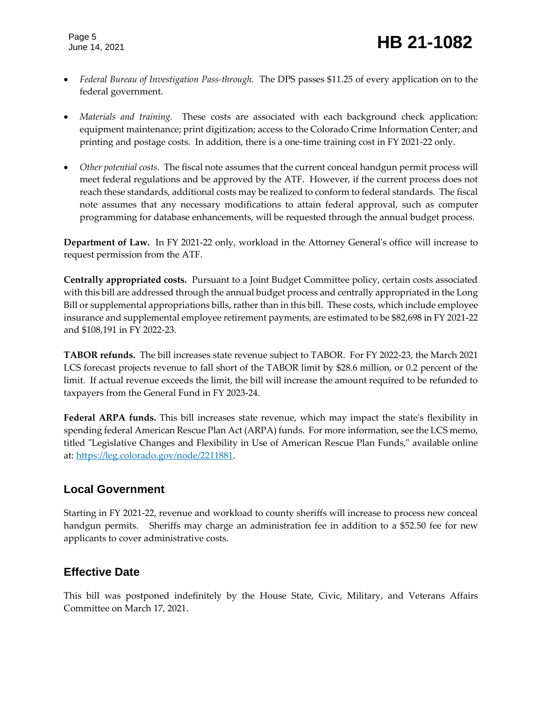- *Federal Bureau of Investigation Pass-through.* The DPS passes \$11.25 of every application on to the federal government.
- *Materials and training.* These costs are associated with each background check application: equipment maintenance; print digitization; access to the Colorado Crime Information Center; and printing and postage costs. In addition, there is a one-time training cost in FY 2021-22 only.
- *Other potential costs.* The fiscal note assumes that the current conceal handgun permit process will meet federal regulations and be approved by the ATF. However, if the current process does not reach these standards, additional costs may be realized to conform to federal standards. The fiscal note assumes that any necessary modifications to attain federal approval, such as computer programming for database enhancements, will be requested through the annual budget process.

**Department of Law.** In FY 2021-22 only, workload in the Attorney General's office will increase to request permission from the ATF.

**Centrally appropriated costs.** Pursuant to a Joint Budget Committee policy, certain costs associated with this bill are addressed through the annual budget process and centrally appropriated in the Long Bill or supplemental appropriations bills, rather than in this bill. These costs, which include employee insurance and supplemental employee retirement payments, are estimated to be \$82,698 in FY 2021-22 and \$108,191 in FY 2022-23.

**TABOR refunds.** The bill increases state revenue subject to TABOR. For FY 2022-23, the March 2021 LCS forecast projects revenue to fall short of the TABOR limit by \$28.6 million, or 0.2 percent of the limit. If actual revenue exceeds the limit, the bill will increase the amount required to be refunded to taxpayers from the General Fund in FY 2023-24.

**Federal ARPA funds.** This bill increases state revenue, which may impact the state's flexibility in spending federal American Rescue Plan Act (ARPA) funds. For more information, see the LCS memo, titled "Legislative Changes and Flexibility in Use of American Rescue Plan Funds," available online at: [https://leg.colorado.gov/node/2211881.](https://leg.colorado.gov/node/2211881)

#### **Local Government**

Starting in FY 2021-22, revenue and workload to county sheriffs will increase to process new conceal handgun permits. Sheriffs may charge an administration fee in addition to a \$52.50 fee for new applicants to cover administrative costs.

### **Effective Date**

This bill was postponed indefinitely by the House State, Civic, Military, and Veterans Affairs Committee on March 17, 2021.